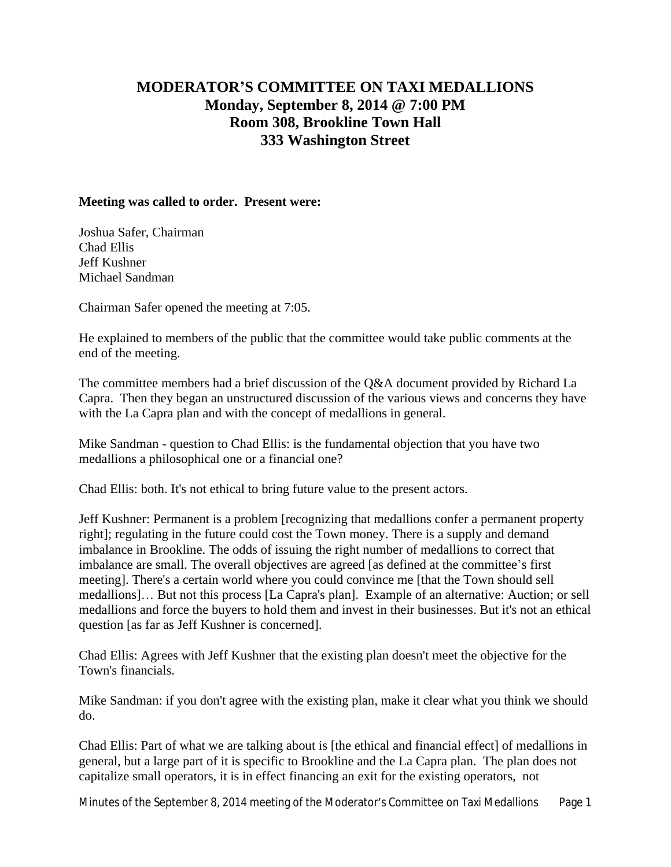## **MODERATOR'S COMMITTEE ON TAXI MEDALLIONS Monday, September 8, 2014 @ 7:00 PM Room 308, Brookline Town Hall 333 Washington Street**

## **Meeting was called to order. Present were:**

Joshua Safer, Chairman Chad Ellis Jeff Kushner Michael Sandman

Chairman Safer opened the meeting at 7:05.

He explained to members of the public that the committee would take public comments at the end of the meeting.

The committee members had a brief discussion of the Q&A document provided by Richard La Capra. Then they began an unstructured discussion of the various views and concerns they have with the La Capra plan and with the concept of medallions in general.

Mike Sandman - question to Chad Ellis: is the fundamental objection that you have two medallions a philosophical one or a financial one?

Chad Ellis: both. It's not ethical to bring future value to the present actors.

Jeff Kushner: Permanent is a problem [recognizing that medallions confer a permanent property right]; regulating in the future could cost the Town money. There is a supply and demand imbalance in Brookline. The odds of issuing the right number of medallions to correct that imbalance are small. The overall objectives are agreed [as defined at the committee's first meeting]. There's a certain world where you could convince me [that the Town should sell medallions]… But not this process [La Capra's plan]. Example of an alternative: Auction; or sell medallions and force the buyers to hold them and invest in their businesses. But it's not an ethical question [as far as Jeff Kushner is concerned].

Chad Ellis: Agrees with Jeff Kushner that the existing plan doesn't meet the objective for the Town's financials.

Mike Sandman: if you don't agree with the existing plan, make it clear what you think we should do.

Chad Ellis: Part of what we are talking about is [the ethical and financial effect] of medallions in general, but a large part of it is specific to Brookline and the La Capra plan. The plan does not capitalize small operators, it is in effect financing an exit for the existing operators, not

Minutes of the September 8, 2014 meeting of the Moderator's Committee on Taxi Medallions Page 1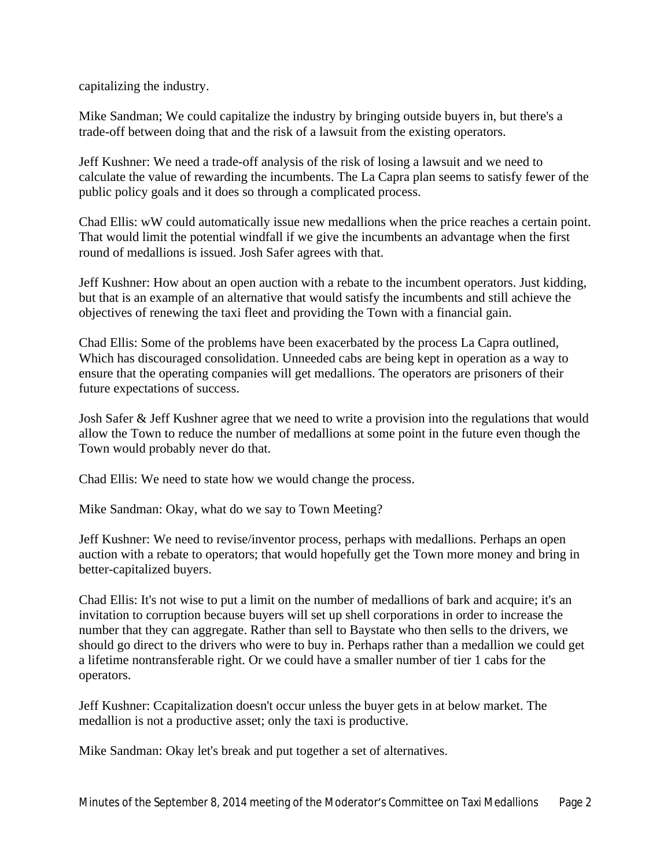capitalizing the industry.

Mike Sandman; We could capitalize the industry by bringing outside buyers in, but there's a trade-off between doing that and the risk of a lawsuit from the existing operators.

Jeff Kushner: We need a trade-off analysis of the risk of losing a lawsuit and we need to calculate the value of rewarding the incumbents. The La Capra plan seems to satisfy fewer of the public policy goals and it does so through a complicated process.

Chad Ellis: wW could automatically issue new medallions when the price reaches a certain point. That would limit the potential windfall if we give the incumbents an advantage when the first round of medallions is issued. Josh Safer agrees with that.

Jeff Kushner: How about an open auction with a rebate to the incumbent operators. Just kidding, but that is an example of an alternative that would satisfy the incumbents and still achieve the objectives of renewing the taxi fleet and providing the Town with a financial gain.

Chad Ellis: Some of the problems have been exacerbated by the process La Capra outlined, Which has discouraged consolidation. Unneeded cabs are being kept in operation as a way to ensure that the operating companies will get medallions. The operators are prisoners of their future expectations of success.

Josh Safer & Jeff Kushner agree that we need to write a provision into the regulations that would allow the Town to reduce the number of medallions at some point in the future even though the Town would probably never do that.

Chad Ellis: We need to state how we would change the process.

Mike Sandman: Okay, what do we say to Town Meeting?

Jeff Kushner: We need to revise/inventor process, perhaps with medallions. Perhaps an open auction with a rebate to operators; that would hopefully get the Town more money and bring in better-capitalized buyers.

Chad Ellis: It's not wise to put a limit on the number of medallions of bark and acquire; it's an invitation to corruption because buyers will set up shell corporations in order to increase the number that they can aggregate. Rather than sell to Baystate who then sells to the drivers, we should go direct to the drivers who were to buy in. Perhaps rather than a medallion we could get a lifetime nontransferable right. Or we could have a smaller number of tier 1 cabs for the operators.

Jeff Kushner: Ccapitalization doesn't occur unless the buyer gets in at below market. The medallion is not a productive asset; only the taxi is productive.

Mike Sandman: Okay let's break and put together a set of alternatives.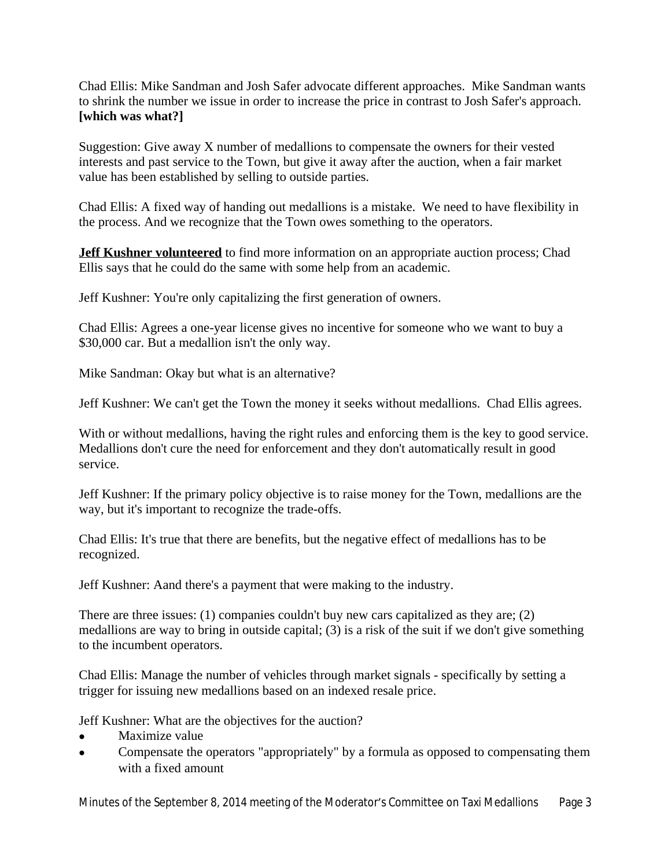Chad Ellis: Mike Sandman and Josh Safer advocate different approaches. Mike Sandman wants to shrink the number we issue in order to increase the price in contrast to Josh Safer's approach. **[which was what?]**

Suggestion: Give away X number of medallions to compensate the owners for their vested interests and past service to the Town, but give it away after the auction, when a fair market value has been established by selling to outside parties.

Chad Ellis: A fixed way of handing out medallions is a mistake. We need to have flexibility in the process. And we recognize that the Town owes something to the operators.

**Jeff Kushner volunteered** to find more information on an appropriate auction process; Chad Ellis says that he could do the same with some help from an academic.

Jeff Kushner: You're only capitalizing the first generation of owners.

Chad Ellis: Agrees a one-year license gives no incentive for someone who we want to buy a \$30,000 car. But a medallion isn't the only way.

Mike Sandman: Okay but what is an alternative?

Jeff Kushner: We can't get the Town the money it seeks without medallions. Chad Ellis agrees.

With or without medallions, having the right rules and enforcing them is the key to good service. Medallions don't cure the need for enforcement and they don't automatically result in good service.

Jeff Kushner: If the primary policy objective is to raise money for the Town, medallions are the way, but it's important to recognize the trade-offs.

Chad Ellis: It's true that there are benefits, but the negative effect of medallions has to be recognized.

Jeff Kushner: Aand there's a payment that were making to the industry.

There are three issues: (1) companies couldn't buy new cars capitalized as they are; (2) medallions are way to bring in outside capital; (3) is a risk of the suit if we don't give something to the incumbent operators.

Chad Ellis: Manage the number of vehicles through market signals - specifically by setting a trigger for issuing new medallions based on an indexed resale price.

Jeff Kushner: What are the objectives for the auction?

- Maximize value
- Compensate the operators "appropriately" by a formula as opposed to compensating them with a fixed amount